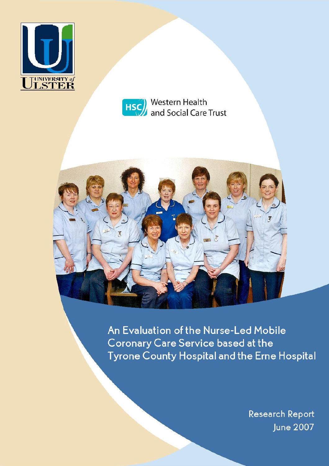



Western Health HSC and Social Care Trust



An Evaluation of the Nurse-Led Mobile **Coronary Care Service based at the Tyrone County Hospital and the Erne Hospital** 

> **Research Report June 2007**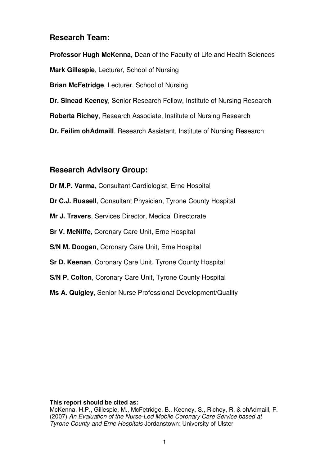# **Research Team:**

**Professor Hugh McKenna,** Dean of the Faculty of Life and Health Sciences **Mark Gillespie**, Lecturer, School of Nursing **Brian McFetridge**, Lecturer, School of Nursing **Dr. Sinead Keeney**, Senior Research Fellow, Institute of Nursing Research **Roberta Richey**, Research Associate, Institute of Nursing Research **Dr. Feilim ohAdmaill**, Research Assistant, Institute of Nursing Research

# **Research Advisory Group:**

**Dr M.P. Varma**, Consultant Cardiologist, Erne Hospital **Dr C.J. Russell**, Consultant Physician, Tyrone County Hospital **Mr J. Travers**, Services Director, Medical Directorate **Sr V. McNiffe**, Coronary Care Unit, Erne Hospital **S/N M. Doogan**, Coronary Care Unit, Erne Hospital **Sr D. Keenan**, Coronary Care Unit, Tyrone County Hospital **S/N P. Colton**, Coronary Care Unit, Tyrone County Hospital **Ms A. Quigley**, Senior Nurse Professional Development/Quality

# **This report should be cited as:**

McKenna, H.P., Gillespie, M., McFetridge, B., Keeney, S., Richey, R. & ohAdmaill, F. (2007) An Evaluation of the Nurse-Led Mobile Coronary Care Service based at Tyrone County and Erne Hospitals Jordanstown: University of Ulster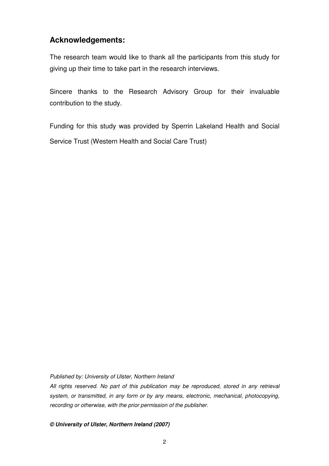# **Acknowledgements:**

The research team would like to thank all the participants from this study for giving up their time to take part in the research interviews.

Sincere thanks to the Research Advisory Group for their invaluable contribution to the study.

Funding for this study was provided by Sperrin Lakeland Health and Social Service Trust (Western Health and Social Care Trust)

Published by: University of Ulster, Northern Ireland

All rights reserved. No part of this publication may be reproduced, stored in any retrieval system, or transmitted, in any form or by any means, electronic, mechanical, photocopying, recording or otherwise, with the prior permission of the publisher.

**© University of Ulster, Northern Ireland (2007)**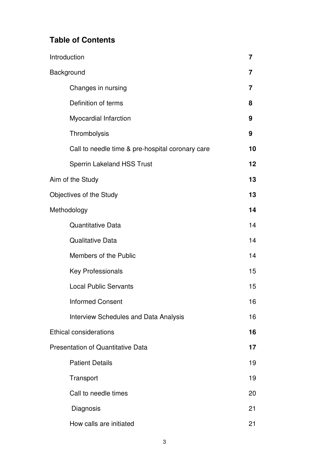# **Table of Contents**

| Introduction |                                                  | 7  |
|--------------|--------------------------------------------------|----|
| Background   |                                                  | 7  |
|              | Changes in nursing                               | 7  |
|              | Definition of terms                              | 8  |
|              | <b>Myocardial Infarction</b>                     | 9  |
|              | Thrombolysis                                     | 9  |
|              | Call to needle time & pre-hospital coronary care | 10 |
|              | <b>Sperrin Lakeland HSS Trust</b>                | 12 |
|              | Aim of the Study                                 | 13 |
|              | Objectives of the Study                          | 13 |
| Methodology  |                                                  | 14 |
|              | <b>Quantitative Data</b>                         | 14 |
|              | <b>Qualitative Data</b>                          | 14 |
|              | Members of the Public                            | 14 |
|              | <b>Key Professionals</b>                         | 15 |
|              | <b>Local Public Servants</b>                     | 15 |
|              | <b>Informed Consent</b>                          | 16 |
|              | <b>Interview Schedules and Data Analysis</b>     | 16 |
|              | <b>Ethical considerations</b>                    | 16 |
|              | <b>Presentation of Quantitative Data</b>         | 17 |
|              | <b>Patient Details</b>                           | 19 |
|              | Transport                                        | 19 |
|              | Call to needle times                             | 20 |
|              | Diagnosis                                        | 21 |
|              | How calls are initiated                          | 21 |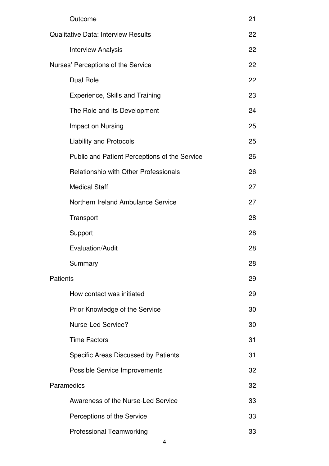|                 | Outcome                                       | 21 |
|-----------------|-----------------------------------------------|----|
|                 | <b>Qualitative Data: Interview Results</b>    | 22 |
|                 | <b>Interview Analysis</b>                     | 22 |
|                 | Nurses' Perceptions of the Service            | 22 |
|                 | <b>Dual Role</b>                              | 22 |
|                 | Experience, Skills and Training               | 23 |
|                 | The Role and its Development                  | 24 |
|                 | Impact on Nursing                             | 25 |
|                 | <b>Liability and Protocols</b>                | 25 |
|                 | Public and Patient Perceptions of the Service | 26 |
|                 | Relationship with Other Professionals         | 26 |
|                 | <b>Medical Staff</b>                          | 27 |
|                 | Northern Ireland Ambulance Service            | 27 |
|                 | Transport                                     | 28 |
|                 | Support                                       | 28 |
|                 | Evaluation/Audit                              | 28 |
|                 | Summary                                       | 28 |
| <b>Patients</b> |                                               | 29 |
|                 | How contact was initiated                     | 29 |
|                 | Prior Knowledge of the Service                | 30 |
|                 | <b>Nurse-Led Service?</b>                     | 30 |
|                 | <b>Time Factors</b>                           | 31 |
|                 | Specific Areas Discussed by Patients          | 31 |
|                 | <b>Possible Service Improvements</b>          | 32 |
| Paramedics      |                                               | 32 |
|                 | Awareness of the Nurse-Led Service            | 33 |
|                 | Perceptions of the Service                    | 33 |
|                 | <b>Professional Teamworking</b>               | 33 |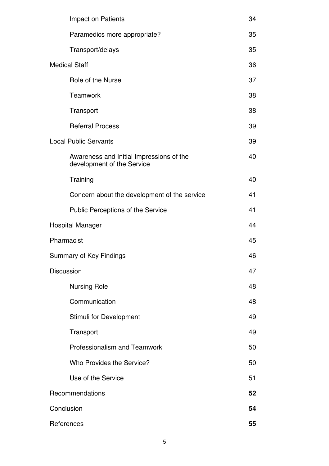|                   | Impact on Patients                                                     | 34 |
|-------------------|------------------------------------------------------------------------|----|
|                   | Paramedics more appropriate?                                           | 35 |
|                   | Transport/delays                                                       | 35 |
|                   | <b>Medical Staff</b>                                                   | 36 |
|                   | Role of the Nurse                                                      | 37 |
|                   | Teamwork                                                               | 38 |
|                   | Transport                                                              | 38 |
|                   | <b>Referral Process</b>                                                | 39 |
|                   | <b>Local Public Servants</b>                                           | 39 |
|                   | Awareness and Initial Impressions of the<br>development of the Service | 40 |
|                   | Training                                                               | 40 |
|                   | Concern about the development of the service                           | 41 |
|                   | Public Perceptions of the Service                                      | 41 |
|                   | <b>Hospital Manager</b>                                                |    |
|                   | Pharmacist                                                             | 45 |
|                   | Summary of Key Findings                                                | 46 |
| <b>Discussion</b> |                                                                        | 47 |
|                   | <b>Nursing Role</b>                                                    | 48 |
|                   | Communication                                                          | 48 |
|                   | Stimuli for Development                                                | 49 |
|                   | Transport                                                              | 49 |
|                   | <b>Professionalism and Teamwork</b>                                    | 50 |
|                   | Who Provides the Service?                                              | 50 |
|                   | Use of the Service                                                     | 51 |
|                   | Recommendations                                                        | 52 |
|                   | Conclusion<br>54                                                       |    |
|                   | References                                                             | 55 |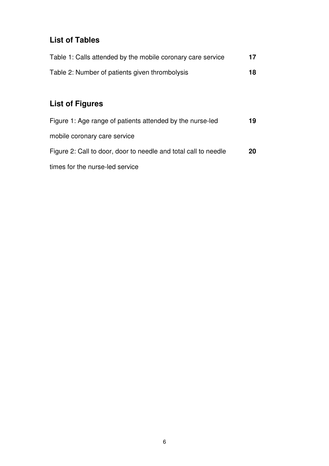# **List of Tables**

| Table 1: Calls attended by the mobile coronary care service | 17 |
|-------------------------------------------------------------|----|
| Table 2: Number of patients given thrombolysis              | 18 |

# **List of Figures**

| Figure 1: Age range of patients attended by the nurse-led       | 19 |
|-----------------------------------------------------------------|----|
| mobile coronary care service                                    |    |
| Figure 2: Call to door, door to needle and total call to needle | 20 |
| times for the nurse-led service                                 |    |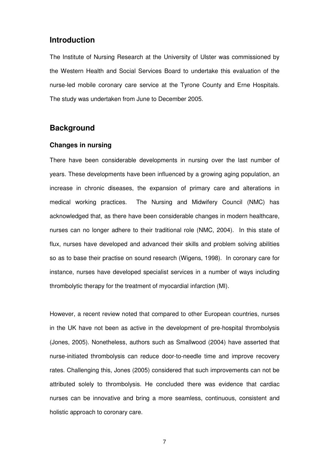# **Introduction**

The Institute of Nursing Research at the University of Ulster was commissioned by the Western Health and Social Services Board to undertake this evaluation of the nurse-led mobile coronary care service at the Tyrone County and Erne Hospitals. The study was undertaken from June to December 2005.

# **Background**

### **Changes in nursing**

There have been considerable developments in nursing over the last number of years. These developments have been influenced by a growing aging population, an increase in chronic diseases, the expansion of primary care and alterations in medical working practices. The Nursing and Midwifery Council (NMC) has acknowledged that, as there have been considerable changes in modern healthcare, nurses can no longer adhere to their traditional role (NMC, 2004). In this state of flux, nurses have developed and advanced their skills and problem solving abilities so as to base their practise on sound research (Wigens, 1998). In coronary care for instance, nurses have developed specialist services in a number of ways including thrombolytic therapy for the treatment of myocardial infarction (MI).

However, a recent review noted that compared to other European countries, nurses in the UK have not been as active in the development of pre-hospital thrombolysis (Jones, 2005). Nonetheless, authors such as Smallwood (2004) have asserted that nurse-initiated thrombolysis can reduce door-to-needle time and improve recovery rates. Challenging this, Jones (2005) considered that such improvements can not be attributed solely to thrombolysis. He concluded there was evidence that cardiac nurses can be innovative and bring a more seamless, continuous, consistent and holistic approach to coronary care.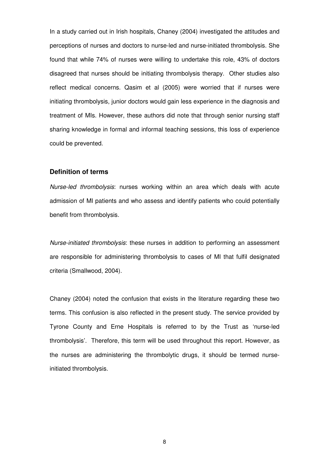In a study carried out in Irish hospitals, Chaney (2004) investigated the attitudes and perceptions of nurses and doctors to nurse-led and nurse-initiated thrombolysis. She found that while 74% of nurses were willing to undertake this role, 43% of doctors disagreed that nurses should be initiating thrombolysis therapy. Other studies also reflect medical concerns. Qasim et al (2005) were worried that if nurses were initiating thrombolysis, junior doctors would gain less experience in the diagnosis and treatment of MIs. However, these authors did note that through senior nursing staff sharing knowledge in formal and informal teaching sessions, this loss of experience could be prevented.

#### **Definition of terms**

Nurse-led thrombolysis: nurses working within an area which deals with acute admission of MI patients and who assess and identify patients who could potentially benefit from thrombolysis.

Nurse-initiated thrombolysis: these nurses in addition to performing an assessment are responsible for administering thrombolysis to cases of MI that fulfil designated criteria (Smallwood, 2004).

Chaney (2004) noted the confusion that exists in the literature regarding these two terms. This confusion is also reflected in the present study. The service provided by Tyrone County and Erne Hospitals is referred to by the Trust as 'nurse-led thrombolysis'. Therefore, this term will be used throughout this report. However, as the nurses are administering the thrombolytic drugs, it should be termed nurseinitiated thrombolysis.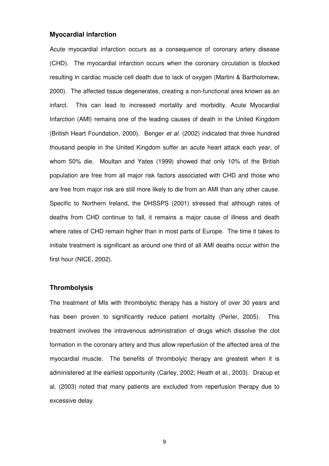#### **Myocardial infarction**

Acute myocardial infarction occurs as a consequence of coronary artery disease (CHD). The myocardial infarction occurs when the coronary circulation is blocked resulting in cardiac muscle cell death due to lack of oxygen (Martini & Bartholomew, 2000). The affected tissue degenerates, creating a non-functional area known as an infarct. This can lead to increased mortality and morbidity. Acute Myocardial Infarction (AMI) remains one of the leading causes of death in the United Kingdom (British Heart Foundation, 2000). Benger et al. (2002) indicated that three hundred thousand people in the United Kingdom suffer an acute heart attack each year, of whom 50% die. Moultan and Yates (1999) showed that only 10% of the British population are free from all major risk factors associated with CHD and those who are free from major risk are still more likely to die from an AMI than any other cause. Specific to Northern Ireland, the DHSSPS (2001) stressed that although rates of deaths from CHD continue to fall, it remains a major cause of illness and death where rates of CHD remain higher than in most parts of Europe. The time it takes to initiate treatment is significant as around one third of all AMI deaths occur within the first hour (NICE, 2002).

### **Thrombolysis**

The treatment of MIs with thrombolytic therapy has a history of over 30 years and has been proven to significantly reduce patient mortality (Perler, 2005). This treatment involves the intravenous administration of drugs which dissolve the clot formation in the coronary artery and thus allow reperfusion of the affected area of the myocardial muscle. The benefits of thrombolyic therapy are greatest when it is administered at the earliest opportunity (Carley, 2002; Heath et al., 2003). Dracup et al. (2003) noted that many patients are excluded from reperfusion therapy due to excessive delay.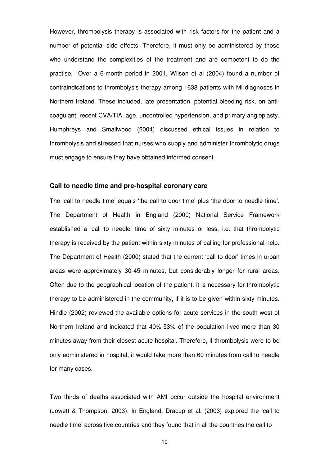However, thrombolysis therapy is associated with risk factors for the patient and a number of potential side effects. Therefore, it must only be administered by those who understand the complexities of the treatment and are competent to do the practise. Over a 6-month period in 2001, Wilson et al (2004) found a number of contraindications to thrombolysis therapy among 1638 patients with MI diagnoses in Northern Ireland. These included, late presentation, potential bleeding risk, on anticoagulant, recent CVA/TIA, age, uncontrolled hypertension, and primary angioplasty. Humphreys and Smallwood (2004) discussed ethical issues in relation to thrombolysis and stressed that nurses who supply and administer thrombolytic drugs must engage to ensure they have obtained informed consent.

### **Call to needle time and pre-hospital coronary care**

The 'call to needle time' equals 'the call to door time' plus 'the door to needle time'. The Department of Health in England (2000) National Service Framework established a 'call to needle' time of sixty minutes or less, i.e. that thrombolytic therapy is received by the patient within sixty minutes of calling for professional help. The Department of Health (2000) stated that the current 'call to door' times in urban areas were approximately 30-45 minutes, but considerably longer for rural areas. Often due to the geographical location of the patient, it is necessary for thrombolytic therapy to be administered in the community, if it is to be given within sixty minutes. Hindle (2002) reviewed the available options for acute services in the south west of Northern Ireland and indicated that 40%-53% of the population lived more than 30 minutes away from their closest acute hospital. Therefore, if thrombolysis were to be only administered in hospital, it would take more than 60 minutes from call to needle for many cases.

Two thirds of deaths associated with AMI occur outside the hospital environment (Jowett & Thompson, 2003). In England, Dracup et al. (2003) explored the 'call to needle time' across five countries and they found that in all the countries the call to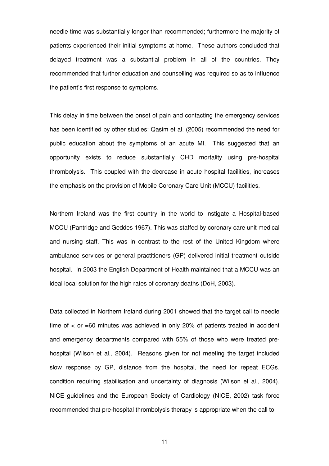needle time was substantially longer than recommended; furthermore the majority of patients experienced their initial symptoms at home. These authors concluded that delayed treatment was a substantial problem in all of the countries. They recommended that further education and counselling was required so as to influence the patient's first response to symptoms.

This delay in time between the onset of pain and contacting the emergency services has been identified by other studies: Qasim et al. (2005) recommended the need for public education about the symptoms of an acute MI. This suggested that an opportunity exists to reduce substantially CHD mortality using pre-hospital thrombolysis. This coupled with the decrease in acute hospital facilities, increases the emphasis on the provision of Mobile Coronary Care Unit (MCCU) facilities.

Northern Ireland was the first country in the world to instigate a Hospital-based MCCU (Pantridge and Geddes 1967). This was staffed by coronary care unit medical and nursing staff. This was in contrast to the rest of the United Kingdom where ambulance services or general practitioners (GP) delivered initial treatment outside hospital. In 2003 the English Department of Health maintained that a MCCU was an ideal local solution for the high rates of coronary deaths (DoH, 2003).

Data collected in Northern Ireland during 2001 showed that the target call to needle time of < or =60 minutes was achieved in only 20% of patients treated in accident and emergency departments compared with 55% of those who were treated prehospital (Wilson et al., 2004). Reasons given for not meeting the target included slow response by GP, distance from the hospital, the need for repeat ECGs, condition requiring stabilisation and uncertainty of diagnosis (Wilson et al., 2004). NICE guidelines and the European Society of Cardiology (NICE, 2002) task force recommended that pre-hospital thrombolysis therapy is appropriate when the call to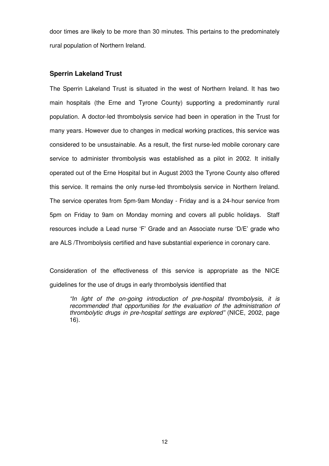door times are likely to be more than 30 minutes. This pertains to the predominately rural population of Northern Ireland.

### **Sperrin Lakeland Trust**

The Sperrin Lakeland Trust is situated in the west of Northern Ireland. It has two main hospitals (the Erne and Tyrone County) supporting a predominantly rural population. A doctor-led thrombolysis service had been in operation in the Trust for many years. However due to changes in medical working practices, this service was considered to be unsustainable. As a result, the first nurse-led mobile coronary care service to administer thrombolysis was established as a pilot in 2002. It initially operated out of the Erne Hospital but in August 2003 the Tyrone County also offered this service. It remains the only nurse-led thrombolysis service in Northern Ireland. The service operates from 5pm-9am Monday - Friday and is a 24-hour service from 5pm on Friday to 9am on Monday morning and covers all public holidays. Staff resources include a Lead nurse 'F' Grade and an Associate nurse 'D/E' grade who are ALS /Thrombolysis certified and have substantial experience in coronary care.

Consideration of the effectiveness of this service is appropriate as the NICE guidelines for the use of drugs in early thrombolysis identified that

"In light of the on-going introduction of pre-hospital thrombolysis, it is recommended that opportunities for the evaluation of the administration of thrombolytic drugs in pre-hospital settings are explored" (NICE, 2002, page 16).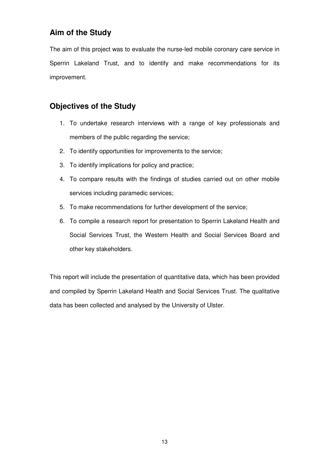# **Aim of the Study**

The aim of this project was to evaluate the nurse-led mobile coronary care service in Sperrin Lakeland Trust, and to identify and make recommendations for its improvement.

# **Objectives of the Study**

- 1. To undertake research interviews with a range of key professionals and members of the public regarding the service;
- 2. To identify opportunities for improvements to the service;
- 3. To identify implications for policy and practice;
- 4. To compare results with the findings of studies carried out on other mobile services including paramedic services;
- 5. To make recommendations for further development of the service;
- 6. To compile a research report for presentation to Sperrin Lakeland Health and Social Services Trust, the Western Health and Social Services Board and other key stakeholders.

This report will include the presentation of quantitative data, which has been provided and compiled by Sperrin Lakeland Health and Social Services Trust. The qualitative data has been collected and analysed by the University of Ulster.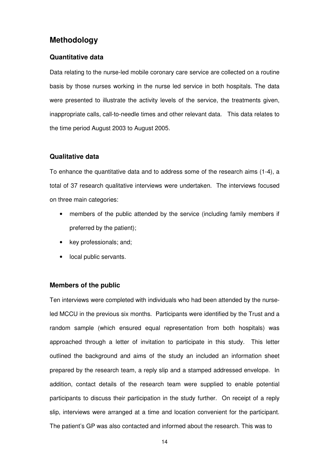# **Methodology**

### **Quantitative data**

Data relating to the nurse-led mobile coronary care service are collected on a routine basis by those nurses working in the nurse led service in both hospitals. The data were presented to illustrate the activity levels of the service, the treatments given, inappropriate calls, call-to-needle times and other relevant data. This data relates to the time period August 2003 to August 2005.

### **Qualitative data**

To enhance the quantitative data and to address some of the research aims (1-4), a total of 37 research qualitative interviews were undertaken. The interviews focused on three main categories:

- members of the public attended by the service (including family members if preferred by the patient);
- key professionals; and;
- local public servants.

#### **Members of the public**

Ten interviews were completed with individuals who had been attended by the nurseled MCCU in the previous six months. Participants were identified by the Trust and a random sample (which ensured equal representation from both hospitals) was approached through a letter of invitation to participate in this study. This letter outlined the background and aims of the study an included an information sheet prepared by the research team, a reply slip and a stamped addressed envelope. In addition, contact details of the research team were supplied to enable potential participants to discuss their participation in the study further. On receipt of a reply slip, interviews were arranged at a time and location convenient for the participant. The patient's GP was also contacted and informed about the research. This was to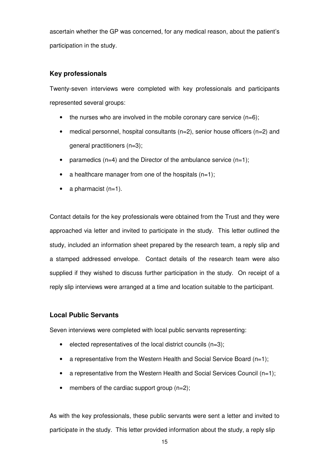ascertain whether the GP was concerned, for any medical reason, about the patient's participation in the study.

# **Key professionals**

Twenty-seven interviews were completed with key professionals and participants represented several groups:

- $\bullet$  the nurses who are involved in the mobile coronary care service (n=6);
- medical personnel, hospital consultants  $(n=2)$ , senior house officers  $(n=2)$  and general practitioners (n=3);
- paramedics  $(n=4)$  and the Director of the ambulance service  $(n=1)$ ;
- a healthcare manager from one of the hospitals  $(n=1)$ ;
- a pharmacist  $(n=1)$ .

Contact details for the key professionals were obtained from the Trust and they were approached via letter and invited to participate in the study. This letter outlined the study, included an information sheet prepared by the research team, a reply slip and a stamped addressed envelope. Contact details of the research team were also supplied if they wished to discuss further participation in the study. On receipt of a reply slip interviews were arranged at a time and location suitable to the participant.

# **Local Public Servants**

Seven interviews were completed with local public servants representing:

- elected representatives of the local district councils  $(n=3)$ ;
- a representative from the Western Health and Social Service Board  $(n=1)$ ;
- a representative from the Western Health and Social Services Council  $(n=1)$ ;
- members of the cardiac support group  $(n=2)$ ;

As with the key professionals, these public servants were sent a letter and invited to participate in the study. This letter provided information about the study, a reply slip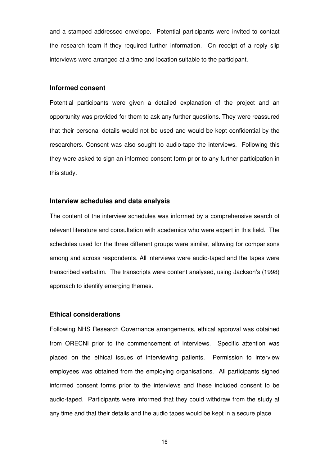and a stamped addressed envelope. Potential participants were invited to contact the research team if they required further information. On receipt of a reply slip interviews were arranged at a time and location suitable to the participant.

#### **Informed consent**

Potential participants were given a detailed explanation of the project and an opportunity was provided for them to ask any further questions. They were reassured that their personal details would not be used and would be kept confidential by the researchers. Consent was also sought to audio-tape the interviews. Following this they were asked to sign an informed consent form prior to any further participation in this study.

#### **Interview schedules and data analysis**

The content of the interview schedules was informed by a comprehensive search of relevant literature and consultation with academics who were expert in this field. The schedules used for the three different groups were similar, allowing for comparisons among and across respondents. All interviews were audio-taped and the tapes were transcribed verbatim. The transcripts were content analysed, using Jackson's (1998) approach to identify emerging themes.

### **Ethical considerations**

Following NHS Research Governance arrangements, ethical approval was obtained from ORECNI prior to the commencement of interviews. Specific attention was placed on the ethical issues of interviewing patients. Permission to interview employees was obtained from the employing organisations. All participants signed informed consent forms prior to the interviews and these included consent to be audio-taped. Participants were informed that they could withdraw from the study at any time and that their details and the audio tapes would be kept in a secure place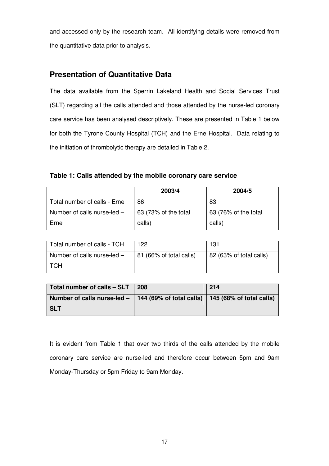and accessed only by the research team. All identifying details were removed from the quantitative data prior to analysis.

# **Presentation of Quantitative Data**

The data available from the Sperrin Lakeland Health and Social Services Trust (SLT) regarding all the calls attended and those attended by the nurse-led coronary care service has been analysed descriptively. These are presented in Table 1 below for both the Tyrone County Hospital (TCH) and the Erne Hospital. Data relating to the initiation of thrombolytic therapy are detailed in Table 2.

**Table 1: Calls attended by the mobile coronary care service** 

|                               | 2003/4               | 2004/5               |
|-------------------------------|----------------------|----------------------|
| Total number of calls - Erne  | 86                   | -83                  |
| Number of calls nurse-led $-$ | 63 (73% of the total | 63 (76% of the total |
| Erne                          | calls)               | calls)               |

| Total number of calls - TCH   | 122                     | 131                     |
|-------------------------------|-------------------------|-------------------------|
| Number of calls nurse-led $-$ | 81 (66% of total calls) | 82 (63% of total calls) |
| <b>TCH</b>                    |                         |                         |

| Total number of calls - SLT                                                         | 208 | 214 |
|-------------------------------------------------------------------------------------|-----|-----|
| Number of calls nurse-led $-$   144 (69% of total calls)   145 (68% of total calls) |     |     |
| <b>SLT</b>                                                                          |     |     |

It is evident from Table 1 that over two thirds of the calls attended by the mobile coronary care service are nurse-led and therefore occur between 5pm and 9am Monday-Thursday or 5pm Friday to 9am Monday.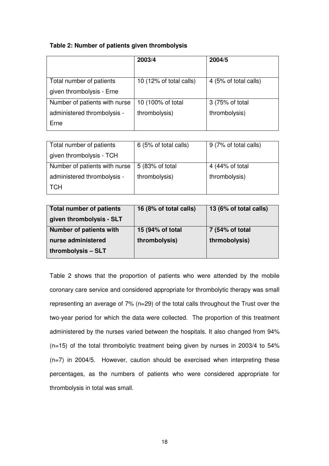# **Table 2: Number of patients given thrombolysis**

|                               | 2003/4                  | 2004/5                |
|-------------------------------|-------------------------|-----------------------|
|                               |                         |                       |
| Total number of patients      | 10 (12% of total calls) | 4 (5% of total calls) |
| given thrombolysis - Erne     |                         |                       |
| Number of patients with nurse | 10 (100% of total       | 3 (75% of total       |
| administered thrombolysis -   | thrombolysis)           | thrombolysis)         |
| Erne                          |                         |                       |

| Total number of patients      | 6 (5% of total calls) | 9 (7% of total calls) |
|-------------------------------|-----------------------|-----------------------|
| given thrombolysis - TCH      |                       |                       |
| Number of patients with nurse | 5 (83% of total       | 4 (44% of total       |
| administered thrombolysis -   | thrombolysis)         | thrombolysis)         |
| <b>TCH</b>                    |                       |                       |

| <b>Total number of patients</b> | 16 (8% of total calls) | 13 (6% of total calls) |
|---------------------------------|------------------------|------------------------|
| given thrombolysis - SLT        |                        |                        |
| <b>Number of patients with</b>  | 15 (94% of total       | 7 (54% of total        |
| nurse administered              | thrombolysis)          | thrmobolysis)          |
| thrombolysis - SLT              |                        |                        |

Table 2 shows that the proportion of patients who were attended by the mobile coronary care service and considered appropriate for thrombolytic therapy was small representing an average of 7% (n=29) of the total calls throughout the Trust over the two-year period for which the data were collected. The proportion of this treatment administered by the nurses varied between the hospitals. It also changed from 94% (n=15) of the total thrombolytic treatment being given by nurses in 2003/4 to 54% (n=7) in 2004/5. However, caution should be exercised when interpreting these percentages, as the numbers of patients who were considered appropriate for thrombolysis in total was small.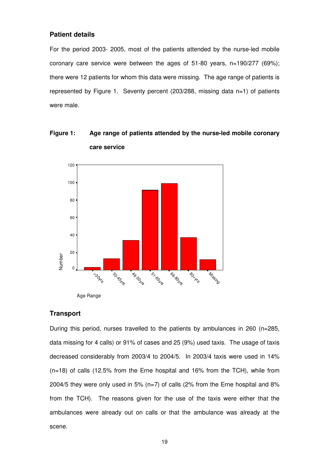### **Patient details**

For the period 2003- 2005, most of the patients attended by the nurse-led mobile coronary care service were between the ages of 51-80 years, n=190/277 (69%); there were 12 patients for whom this data were missing. The age range of patients is represented by Figure 1. Seventy percent (203/288, missing data n=1) of patients were male.

**Figure 1: Age range of patients attended by the nurse-led mobile coronary care service** 



#### **Transport**

During this period, nurses travelled to the patients by ambulances in 260 (n=285, data missing for 4 calls) or 91% of cases and 25 (9%) used taxis. The usage of taxis decreased considerably from 2003/4 to 2004/5. In 2003/4 taxis were used in 14% (n=18) of calls (12.5% from the Erne hospital and 16% from the TCH), while from 2004/5 they were only used in 5% (n=7) of calls (2% from the Erne hospital and 8% from the TCH). The reasons given for the use of the taxis were either that the ambulances were already out on calls or that the ambulance was already at the scene.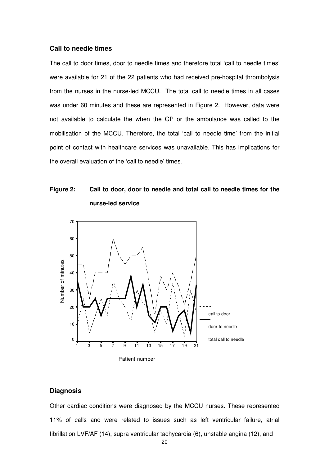#### **Call to needle times**

The call to door times, door to needle times and therefore total 'call to needle times' were available for 21 of the 22 patients who had received pre-hospital thrombolysis from the nurses in the nurse-led MCCU. The total call to needle times in all cases was under 60 minutes and these are represented in Figure 2. However, data were not available to calculate the when the GP or the ambulance was called to the mobilisation of the MCCU. Therefore, the total 'call to needle time' from the initial point of contact with healthcare services was unavailable. This has implications for the overall evaluation of the 'call to needle' times.

# **Figure 2: Call to door, door to needle and total call to needle times for the nurse-led service**



### **Diagnosis**

Other cardiac conditions were diagnosed by the MCCU nurses. These represented 11% of calls and were related to issues such as left ventricular failure, atrial fibrillation LVF/AF (14), supra ventricular tachycardia (6), unstable angina (12), and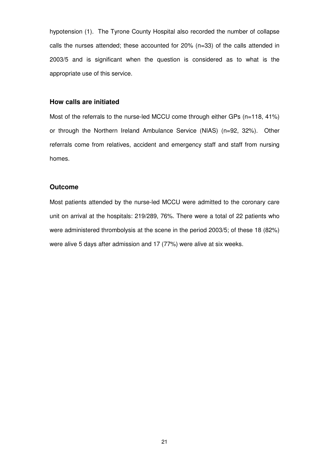hypotension (1). The Tyrone County Hospital also recorded the number of collapse calls the nurses attended; these accounted for 20% (n=33) of the calls attended in 2003/5 and is significant when the question is considered as to what is the appropriate use of this service.

# **How calls are initiated**

Most of the referrals to the nurse-led MCCU come through either GPs (n=118, 41%) or through the Northern Ireland Ambulance Service (NIAS) (n=92, 32%). Other referrals come from relatives, accident and emergency staff and staff from nursing homes.

#### **Outcome**

Most patients attended by the nurse-led MCCU were admitted to the coronary care unit on arrival at the hospitals: 219/289, 76%. There were a total of 22 patients who were administered thrombolysis at the scene in the period 2003/5; of these 18 (82%) were alive 5 days after admission and 17 (77%) were alive at six weeks.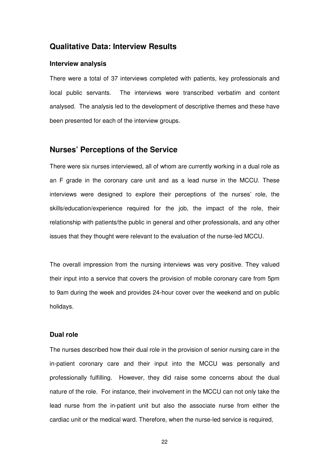# **Qualitative Data: Interview Results**

#### **Interview analysis**

There were a total of 37 interviews completed with patients, key professionals and local public servants. The interviews were transcribed verbatim and content analysed. The analysis led to the development of descriptive themes and these have been presented for each of the interview groups.

### **Nurses' Perceptions of the Service**

There were six nurses interviewed, all of whom are currently working in a dual role as an F grade in the coronary care unit and as a lead nurse in the MCCU. These interviews were designed to explore their perceptions of the nurses' role, the skills/education/experience required for the job, the impact of the role, their relationship with patients/the public in general and other professionals, and any other issues that they thought were relevant to the evaluation of the nurse-led MCCU.

The overall impression from the nursing interviews was very positive. They valued their input into a service that covers the provision of mobile coronary care from 5pm to 9am during the week and provides 24-hour cover over the weekend and on public holidays.

#### **Dual role**

The nurses described how their dual role in the provision of senior nursing care in the in-patient coronary care and their input into the MCCU was personally and professionally fulfilling. However, they did raise some concerns about the dual nature of the role. For instance, their involvement in the MCCU can not only take the lead nurse from the in-patient unit but also the associate nurse from either the cardiac unit or the medical ward. Therefore, when the nurse-led service is required,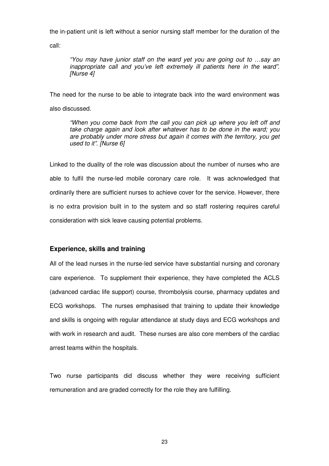the in-patient unit is left without a senior nursing staff member for the duration of the

call:

"You may have junior staff on the ward yet you are going out to …say an inappropriate call and you've left extremely ill patients here in the ward". [Nurse 4]

The need for the nurse to be able to integrate back into the ward environment was also discussed.

"When you come back from the call you can pick up where you left off and take charge again and look after whatever has to be done in the ward; you are probably under more stress but again it comes with the territory, you get used to it". [Nurse 6]

Linked to the duality of the role was discussion about the number of nurses who are able to fulfil the nurse-led mobile coronary care role. It was acknowledged that ordinarily there are sufficient nurses to achieve cover for the service. However, there is no extra provision built in to the system and so staff rostering requires careful consideration with sick leave causing potential problems.

# **Experience, skills and training**

All of the lead nurses in the nurse-led service have substantial nursing and coronary care experience. To supplement their experience, they have completed the ACLS (advanced cardiac life support) course, thrombolysis course, pharmacy updates and ECG workshops. The nurses emphasised that training to update their knowledge and skills is ongoing with regular attendance at study days and ECG workshops and with work in research and audit. These nurses are also core members of the cardiac arrest teams within the hospitals.

Two nurse participants did discuss whether they were receiving sufficient remuneration and are graded correctly for the role they are fulfilling.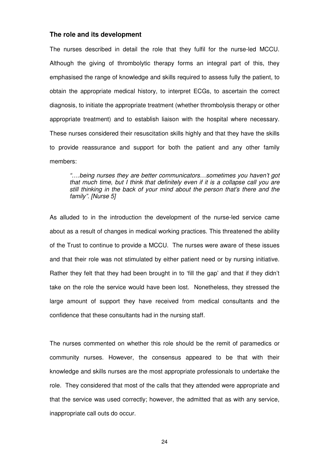#### **The role and its development**

The nurses described in detail the role that they fulfil for the nurse-led MCCU. Although the giving of thrombolytic therapy forms an integral part of this, they emphasised the range of knowledge and skills required to assess fully the patient, to obtain the appropriate medical history, to interpret ECGs, to ascertain the correct diagnosis, to initiate the appropriate treatment (whether thrombolysis therapy or other appropriate treatment) and to establish liaison with the hospital where necessary. These nurses considered their resuscitation skills highly and that they have the skills to provide reassurance and support for both the patient and any other family members:

"….being nurses they are better communicators…sometimes you haven't got that much time, but I think that definitely even if it is a collapse call you are still thinking in the back of your mind about the person that's there and the family". [Nurse 5]

As alluded to in the introduction the development of the nurse-led service came about as a result of changes in medical working practices. This threatened the ability of the Trust to continue to provide a MCCU. The nurses were aware of these issues and that their role was not stimulated by either patient need or by nursing initiative. Rather they felt that they had been brought in to 'fill the gap' and that if they didn't take on the role the service would have been lost. Nonetheless, they stressed the large amount of support they have received from medical consultants and the confidence that these consultants had in the nursing staff.

The nurses commented on whether this role should be the remit of paramedics or community nurses. However, the consensus appeared to be that with their knowledge and skills nurses are the most appropriate professionals to undertake the role. They considered that most of the calls that they attended were appropriate and that the service was used correctly; however, the admitted that as with any service, inappropriate call outs do occur.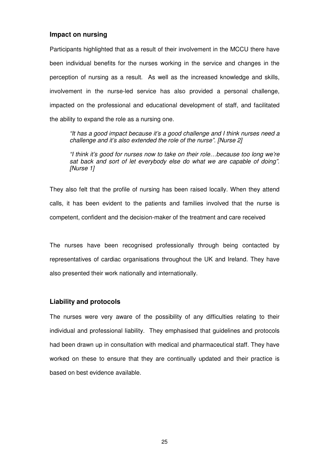#### **Impact on nursing**

Participants highlighted that as a result of their involvement in the MCCU there have been individual benefits for the nurses working in the service and changes in the perception of nursing as a result. As well as the increased knowledge and skills, involvement in the nurse-led service has also provided a personal challenge, impacted on the professional and educational development of staff, and facilitated the ability to expand the role as a nursing one.

"It has a good impact because it's a good challenge and I think nurses need a challenge and it's also extended the role of the nurse". [Nurse 2]

"I think it's good for nurses now to take on their role…because too long we're sat back and sort of let everybody else do what we are capable of doing". [Nurse 1]

They also felt that the profile of nursing has been raised locally. When they attend calls, it has been evident to the patients and families involved that the nurse is competent, confident and the decision-maker of the treatment and care received

The nurses have been recognised professionally through being contacted by representatives of cardiac organisations throughout the UK and Ireland. They have also presented their work nationally and internationally.

#### **Liability and protocols**

The nurses were very aware of the possibility of any difficulties relating to their individual and professional liability. They emphasised that guidelines and protocols had been drawn up in consultation with medical and pharmaceutical staff. They have worked on these to ensure that they are continually updated and their practice is based on best evidence available.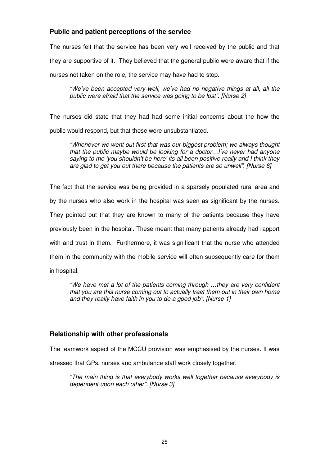# **Public and patient perceptions of the service**

The nurses felt that the service has been very well received by the public and that they are supportive of it. They believed that the general public were aware that if the nurses not taken on the role, the service may have had to stop.

"We've been accepted very well, we've had no negative things at all, all the public were afraid that the service was going to be lost". [Nurse 2]

The nurses did state that they had had some initial concerns about the how the public would respond, but that these were unsubstantiated.

"Whenever we went out first that was our biggest problem; we always thought that the public maybe would be looking for a doctor…I've never had anyone saying to me 'you shouldn't be here' its all been positive really and I think they are glad to get you out there because the patients are so unwell". [Nurse 6]

The fact that the service was being provided in a sparsely populated rural area and by the nurses who also work in the hospital was seen as significant by the nurses. They pointed out that they are known to many of the patients because they have previously been in the hospital. These meant that many patients already had rapport with and trust in them. Furthermore, it was significant that the nurse who attended them in the community with the mobile service will often subsequently care for them in hospital.

"We have met a lot of the patients coming through …they are very confident that you are this nurse coming out to actually treat them out in their own home and they really have faith in you to do a good job". [Nurse 1]

# **Relationship with other professionals**

The teamwork aspect of the MCCU provision was emphasised by the nurses. It was

stressed that GPs, nurses and ambulance staff work closely together.

"The main thing is that everybody works well together because everybody is dependent upon each other". [Nurse 3]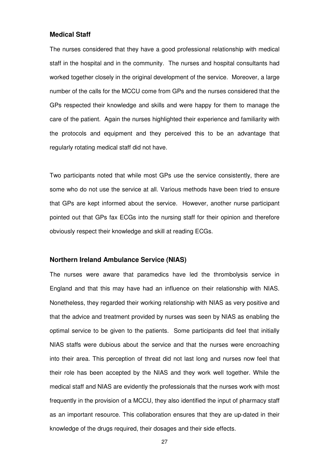#### **Medical Staff**

The nurses considered that they have a good professional relationship with medical staff in the hospital and in the community. The nurses and hospital consultants had worked together closely in the original development of the service. Moreover, a large number of the calls for the MCCU come from GPs and the nurses considered that the GPs respected their knowledge and skills and were happy for them to manage the care of the patient. Again the nurses highlighted their experience and familiarity with the protocols and equipment and they perceived this to be an advantage that regularly rotating medical staff did not have.

Two participants noted that while most GPs use the service consistently, there are some who do not use the service at all. Various methods have been tried to ensure that GPs are kept informed about the service. However, another nurse participant pointed out that GPs fax ECGs into the nursing staff for their opinion and therefore obviously respect their knowledge and skill at reading ECGs.

### **Northern Ireland Ambulance Service (NIAS)**

The nurses were aware that paramedics have led the thrombolysis service in England and that this may have had an influence on their relationship with NIAS. Nonetheless, they regarded their working relationship with NIAS as very positive and that the advice and treatment provided by nurses was seen by NIAS as enabling the optimal service to be given to the patients. Some participants did feel that initially NIAS staffs were dubious about the service and that the nurses were encroaching into their area. This perception of threat did not last long and nurses now feel that their role has been accepted by the NIAS and they work well together. While the medical staff and NIAS are evidently the professionals that the nurses work with most frequently in the provision of a MCCU, they also identified the input of pharmacy staff as an important resource. This collaboration ensures that they are up-dated in their knowledge of the drugs required, their dosages and their side effects.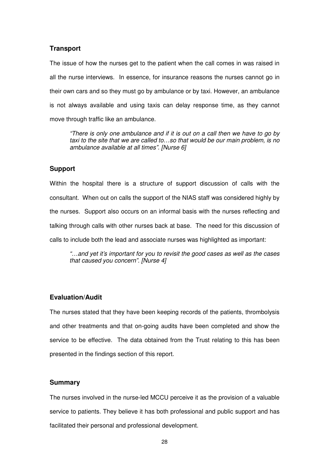#### **Transport**

The issue of how the nurses get to the patient when the call comes in was raised in all the nurse interviews. In essence, for insurance reasons the nurses cannot go in their own cars and so they must go by ambulance or by taxi. However, an ambulance is not always available and using taxis can delay response time, as they cannot move through traffic like an ambulance.

"There is only one ambulance and if it is out on a call then we have to go by taxi to the site that we are called to…so that would be our main problem, is no ambulance available at all times". [Nurse 6]

### **Support**

Within the hospital there is a structure of support discussion of calls with the consultant. When out on calls the support of the NIAS staff was considered highly by the nurses. Support also occurs on an informal basis with the nurses reflecting and talking through calls with other nurses back at base. The need for this discussion of calls to include both the lead and associate nurses was highlighted as important:

"…and yet it's important for you to revisit the good cases as well as the cases that caused you concern". [Nurse 4]

### **Evaluation/Audit**

The nurses stated that they have been keeping records of the patients, thrombolysis and other treatments and that on-going audits have been completed and show the service to be effective. The data obtained from the Trust relating to this has been presented in the findings section of this report.

#### **Summary**

The nurses involved in the nurse-led MCCU perceive it as the provision of a valuable service to patients. They believe it has both professional and public support and has facilitated their personal and professional development.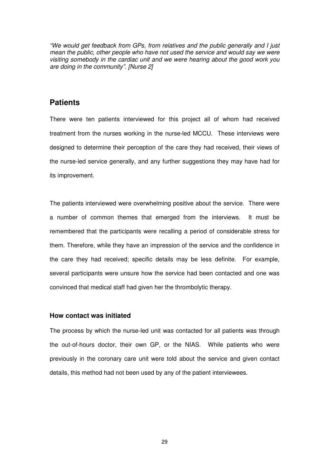"We would get feedback from GPs, from relatives and the public generally and I just mean the public, other people who have not used the service and would say we were visiting somebody in the cardiac unit and we were hearing about the good work you are doing in the community". [Nurse 2]

# **Patients**

There were ten patients interviewed for this project all of whom had received treatment from the nurses working in the nurse-led MCCU. These interviews were designed to determine their perception of the care they had received, their views of the nurse-led service generally, and any further suggestions they may have had for its improvement.

The patients interviewed were overwhelming positive about the service. There were a number of common themes that emerged from the interviews. It must be remembered that the participants were recalling a period of considerable stress for them. Therefore, while they have an impression of the service and the confidence in the care they had received; specific details may be less definite. For example, several participants were unsure how the service had been contacted and one was convinced that medical staff had given her the thrombolytic therapy.

### **How contact was initiated**

The process by which the nurse-led unit was contacted for all patients was through the out-of-hours doctor, their own GP, or the NIAS. While patients who were previously in the coronary care unit were told about the service and given contact details, this method had not been used by any of the patient interviewees.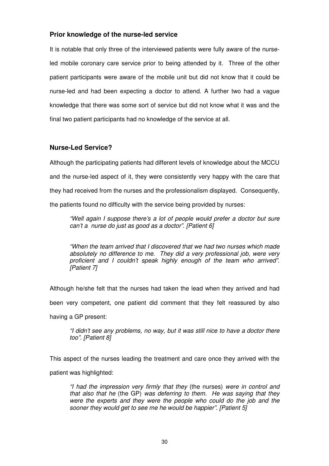### **Prior knowledge of the nurse-led service**

It is notable that only three of the interviewed patients were fully aware of the nurseled mobile coronary care service prior to being attended by it. Three of the other patient participants were aware of the mobile unit but did not know that it could be nurse-led and had been expecting a doctor to attend. A further two had a vague knowledge that there was some sort of service but did not know what it was and the final two patient participants had no knowledge of the service at all.

### **Nurse-Led Service?**

Although the participating patients had different levels of knowledge about the MCCU and the nurse-led aspect of it, they were consistently very happy with the care that they had received from the nurses and the professionalism displayed. Consequently, the patients found no difficulty with the service being provided by nurses:

"Well again I suppose there's a lot of people would prefer a doctor but sure can't a nurse do just as good as a doctor". [Patient 6]

"When the team arrived that I discovered that we had two nurses which made absolutely no difference to me. They did a very professional job, were very proficient and I couldn't speak highly enough of the team who arrived". [Patient 7]

Although he/she felt that the nurses had taken the lead when they arrived and had been very competent, one patient did comment that they felt reassured by also having a GP present:

"I didn't see any problems, no way, but it was still nice to have a doctor there too". [Patient 8]

This aspect of the nurses leading the treatment and care once they arrived with the patient was highlighted:

"I had the impression very firmly that they (the nurses) were in control and that also that he (the GP) was deferring to them. He was saying that they were the experts and they were the people who could do the job and the sooner they would get to see me he would be happier". [Patient 5]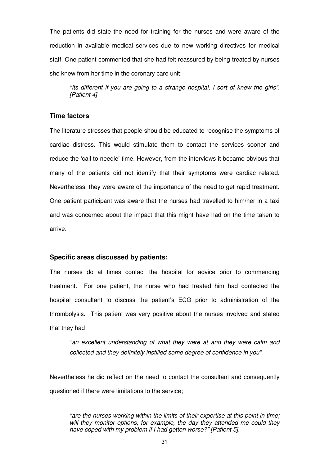The patients did state the need for training for the nurses and were aware of the reduction in available medical services due to new working directives for medical staff. One patient commented that she had felt reassured by being treated by nurses she knew from her time in the coronary care unit:

"Its different if you are going to a strange hospital, I sort of knew the girls". [Patient 4]

### **Time factors**

The literature stresses that people should be educated to recognise the symptoms of cardiac distress. This would stimulate them to contact the services sooner and reduce the 'call to needle' time. However, from the interviews it became obvious that many of the patients did not identify that their symptoms were cardiac related. Nevertheless, they were aware of the importance of the need to get rapid treatment. One patient participant was aware that the nurses had travelled to him/her in a taxi and was concerned about the impact that this might have had on the time taken to arrive.

#### **Specific areas discussed by patients:**

The nurses do at times contact the hospital for advice prior to commencing treatment. For one patient, the nurse who had treated him had contacted the hospital consultant to discuss the patient's ECG prior to administration of the thrombolysis. This patient was very positive about the nurses involved and stated that they had

"an excellent understanding of what they were at and they were calm and collected and they definitely instilled some degree of confidence in you".

Nevertheless he did reflect on the need to contact the consultant and consequently questioned if there were limitations to the service;

"are the nurses working within the limits of their expertise at this point in time; will they monitor options, for example, the day they attended me could they have coped with my problem if I had gotten worse?" [Patient 5].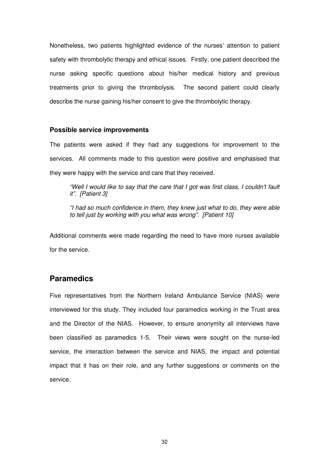Nonetheless, two patients highlighted evidence of the nurses' attention to patient safety with thrombolytic therapy and ethical issues. Firstly, one patient described the nurse asking specific questions about his/her medical history and previous treatments prior to giving the thrombolysis. The second patient could clearly describe the nurse gaining his/her consent to give the thrombolytic therapy.

#### **Possible service improvements**

The patients were asked if they had any suggestions for improvement to the services. All comments made to this question were positive and emphasised that they were happy with the service and care that they received.

"Well I would like to say that the care that I got was first class, I couldn't fault it". [Patient 3]

"I had so much confidence in them, they knew just what to do, they were able to tell just by working with you what was wrong". [Patient 10]

Additional comments were made regarding the need to have more nurses available for the service.

# **Paramedics**

Five representatives from the Northern Ireland Ambulance Service (NIAS) were interviewed for this study. They included four paramedics working in the Trust area and the Director of the NIAS. However, to ensure anonymity all interviews have been classified as paramedics 1-5. Their views were sought on the nurse-led service, the interaction between the service and NIAS, the impact and potential impact that it has on their role, and any further suggestions or comments on the service.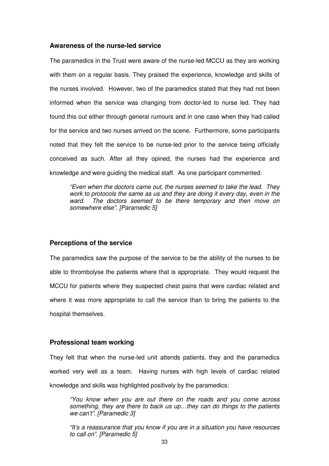#### **Awareness of the nurse-led service**

The paramedics in the Trust were aware of the nurse-led MCCU as they are working with them on a regular basis. They praised the experience, knowledge and skills of the nurses involved. However, two of the paramedics stated that they had not been informed when the service was changing from doctor-led to nurse led. They had found this out either through general rumours and in one case when they had called for the service and two nurses arrived on the scene. Furthermore, some participants noted that they felt the service to be nurse-led prior to the service being officially conceived as such. After all they opined, the nurses had the experience and knowledge and were guiding the medical staff. As one participant commented:

"Even when the doctors came out, the nurses seemed to take the lead. They work to protocols the same as us and they are doing it every day, even in the ward. The doctors seemed to be there temporary and then move on somewhere else". [Paramedic 5]

#### **Perceptions of the service**

The paramedics saw the purpose of the service to be the ability of the nurses to be able to thrombolyse the patients where that is appropriate. They would request the MCCU for patients where they suspected chest pains that were cardiac related and where it was more appropriate to call the service than to bring the patients to the hospital themselves.

### **Professional team working**

They felt that when the nurse-led unit attends patients, they and the paramedics worked very well as a team. Having nurses with high levels of cardiac related knowledge and skills was highlighted positively by the paramedics:

"You know when you are out there on the roads and you come across something, they are there to back us up…they can do things to the patients we can't". [Paramedic 3]

"It's a reassurance that you know if you are in a situation you have resources to call on". [Paramedic 5]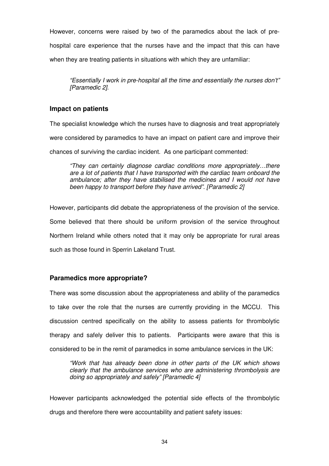However, concerns were raised by two of the paramedics about the lack of pre-

hospital care experience that the nurses have and the impact that this can have

when they are treating patients in situations with which they are unfamiliar:

"Essentially I work in pre-hospital all the time and essentially the nurses don't" [Paramedic 2].

### **Impact on patients**

The specialist knowledge which the nurses have to diagnosis and treat appropriately were considered by paramedics to have an impact on patient care and improve their chances of surviving the cardiac incident. As one participant commented:

"They can certainly diagnose cardiac conditions more appropriately…there are a lot of patients that I have transported with the cardiac team onboard the ambulance; after they have stabilised the medicines and I would not have been happy to transport before they have arrived". [Paramedic 2]

However, participants did debate the appropriateness of the provision of the service. Some believed that there should be uniform provision of the service throughout Northern Ireland while others noted that it may only be appropriate for rural areas such as those found in Sperrin Lakeland Trust.

# **Paramedics more appropriate?**

There was some discussion about the appropriateness and ability of the paramedics to take over the role that the nurses are currently providing in the MCCU. This discussion centred specifically on the ability to assess patients for thrombolytic therapy and safely deliver this to patients. Participants were aware that this is considered to be in the remit of paramedics in some ambulance services in the UK:

"Work that has already been done in other parts of the UK which shows clearly that the ambulance services who are administering thrombolysis are doing so appropriately and safely" [Paramedic 4]

However participants acknowledged the potential side effects of the thrombolytic drugs and therefore there were accountability and patient safety issues: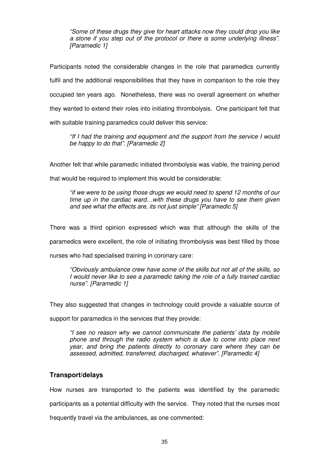"Some of these drugs they give for heart attacks now they could drop you like a stone if you step out of the protocol or there is some underlying illness". [Paramedic 1]

Participants noted the considerable changes in the role that paramedics currently fulfil and the additional responsibilities that they have in comparison to the role they occupied ten years ago. Nonetheless, there was no overall agreement on whether they wanted to extend their roles into initiating thrombolysis. One participant felt that with suitable training paramedics could deliver this service:

"If I had the training and equipment and the support from the service I would be happy to do that". [Paramedic 2]

Another felt that while paramedic initiated thrombolysis was viable, the training period

that would be required to implement this would be considerable:

"if we were to be using those drugs we would need to spend 12 months of our time up in the cardiac ward…with these drugs you have to see them given and see what the effects are, its not just simple" [Paramedic 5]

There was a third opinion expressed which was that although the skills of the paramedics were excellent, the role of initiating thrombolysis was best filled by those

nurses who had specialised training in coronary care:

"Obviously ambulance crew have some of the skills but not all of the skills, so I would never like to see a paramedic taking the role of a fully trained cardiac nurse". [Paramedic 1]

They also suggested that changes in technology could provide a valuable source of

support for paramedics in the services that they provide:

"I see no reason why we cannot communicate the patients' data by mobile phone and through the radio system which is due to come into place next year, and bring the patients directly to coronary care where they can be assessed, admitted, transferred, discharged, whatever". [Paramedic 4]

### **Transport/delays**

How nurses are transported to the patients was identified by the paramedic participants as a potential difficulty with the service. They noted that the nurses most frequently travel via the ambulances, as one commented: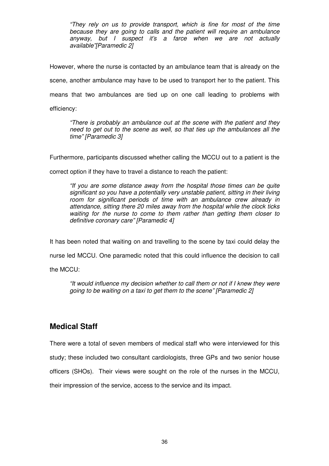"They rely on us to provide transport, which is fine for most of the time because they are going to calls and the patient will require an ambulance anyway, but I suspect it's a farce when we are not actually available"[Paramedic 2]

However, where the nurse is contacted by an ambulance team that is already on the scene, another ambulance may have to be used to transport her to the patient. This means that two ambulances are tied up on one call leading to problems with efficiency:

"There is probably an ambulance out at the scene with the patient and they need to get out to the scene as well, so that ties up the ambulances all the time" [Paramedic 3]

Furthermore, participants discussed whether calling the MCCU out to a patient is the

correct option if they have to travel a distance to reach the patient:

"If you are some distance away from the hospital those times can be quite significant so you have a potentially very unstable patient, sitting in their living room for significant periods of time with an ambulance crew already in attendance, sitting there 20 miles away from the hospital while the clock ticks waiting for the nurse to come to them rather than getting them closer to definitive coronary care" [Paramedic 4]

It has been noted that waiting on and travelling to the scene by taxi could delay the

nurse led MCCU. One paramedic noted that this could influence the decision to call

the MCCU:

"It would influence my decision whether to call them or not if I knew they were going to be waiting on a taxi to get them to the scene" [Paramedic 2]

# **Medical Staff**

There were a total of seven members of medical staff who were interviewed for this study; these included two consultant cardiologists, three GPs and two senior house officers (SHOs). Their views were sought on the role of the nurses in the MCCU, their impression of the service, access to the service and its impact.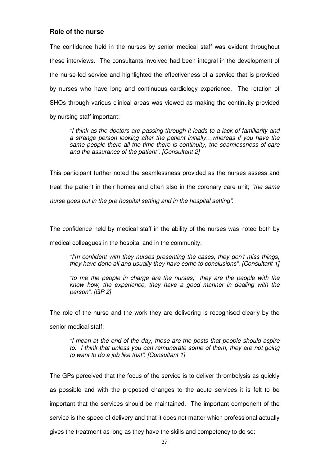#### **Role of the nurse**

The confidence held in the nurses by senior medical staff was evident throughout these interviews. The consultants involved had been integral in the development of the nurse-led service and highlighted the effectiveness of a service that is provided by nurses who have long and continuous cardiology experience. The rotation of SHOs through various clinical areas was viewed as making the continuity provided by nursing staff important:

"I think as the doctors are passing through it leads to a lack of familiarity and a strange person looking after the patient initially…whereas if you have the same people there all the time there is continuity, the seamlessness of care and the assurance of the patient". [Consultant 2]

This participant further noted the seamlessness provided as the nurses assess and treat the patient in their homes and often also in the coronary care unit; "the same nurse goes out in the pre hospital setting and in the hospital setting".

The confidence held by medical staff in the ability of the nurses was noted both by medical colleagues in the hospital and in the community:

"I'm confident with they nurses presenting the cases, they don't miss things, they have done all and usually they have come to conclusions". [Consultant 1]

"to me the people in charge are the nurses; they are the people with the know how, the experience, they have a good manner in dealing with the person". [GP 2]

The role of the nurse and the work they are delivering is recognised clearly by the senior medical staff:

"I mean at the end of the day, those are the posts that people should aspire to. I think that unless you can remunerate some of them, they are not going to want to do a job like that". [Consultant 1]

The GPs perceived that the focus of the service is to deliver thrombolysis as quickly as possible and with the proposed changes to the acute services it is felt to be important that the services should be maintained. The important component of the service is the speed of delivery and that it does not matter which professional actually gives the treatment as long as they have the skills and competency to do so: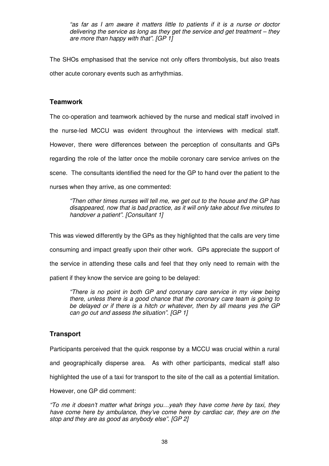"as far as I am aware it matters little to patients if it is a nurse or doctor delivering the service as long as they get the service and get treatment – they are more than happy with that". [GP 1]

The SHOs emphasised that the service not only offers thrombolysis, but also treats other acute coronary events such as arrhythmias.

### **Teamwork**

The co-operation and teamwork achieved by the nurse and medical staff involved in the nurse-led MCCU was evident throughout the interviews with medical staff. However, there were differences between the perception of consultants and GPs regarding the role of the latter once the mobile coronary care service arrives on the scene. The consultants identified the need for the GP to hand over the patient to the nurses when they arrive, as one commented:

"Then other times nurses will tell me, we get out to the house and the GP has disappeared, now that is bad practice, as it will only take about five minutes to handover a patient". [Consultant 1]

This was viewed differently by the GPs as they highlighted that the calls are very time consuming and impact greatly upon their other work. GPs appreciate the support of the service in attending these calls and feel that they only need to remain with the patient if they know the service are going to be delayed:

"There is no point in both GP and coronary care service in my view being there, unless there is a good chance that the coronary care team is going to be delayed or if there is a hitch or whatever, then by all means yes the GP can go out and assess the situation". [GP 1]

# **Transport**

Participants perceived that the quick response by a MCCU was crucial within a rural and geographically disperse area. As with other participants, medical staff also highlighted the use of a taxi for transport to the site of the call as a potential limitation.

However, one GP did comment:

"To me it doesn't matter what brings you…yeah they have come here by taxi, they have come here by ambulance, they've come here by cardiac car, they are on the stop and they are as good as anybody else". [GP 2]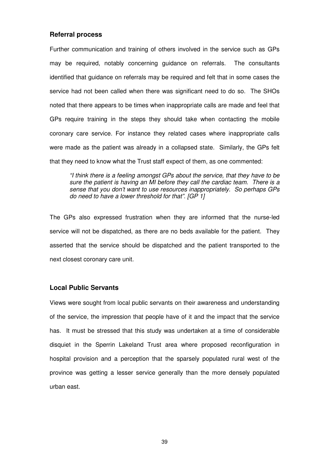#### **Referral process**

Further communication and training of others involved in the service such as GPs may be required, notably concerning guidance on referrals. The consultants identified that guidance on referrals may be required and felt that in some cases the service had not been called when there was significant need to do so. The SHOs noted that there appears to be times when inappropriate calls are made and feel that GPs require training in the steps they should take when contacting the mobile coronary care service. For instance they related cases where inappropriate calls were made as the patient was already in a collapsed state. Similarly, the GPs felt that they need to know what the Trust staff expect of them, as one commented:

"I think there is a feeling amongst GPs about the service, that they have to be sure the patient is having an MI before they call the cardiac team. There is a sense that you don't want to use resources inappropriately. So perhaps GPs do need to have a lower threshold for that". [GP 1]

The GPs also expressed frustration when they are informed that the nurse-led service will not be dispatched, as there are no beds available for the patient. They asserted that the service should be dispatched and the patient transported to the next closest coronary care unit.

### **Local Public Servants**

Views were sought from local public servants on their awareness and understanding of the service, the impression that people have of it and the impact that the service has. It must be stressed that this study was undertaken at a time of considerable disquiet in the Sperrin Lakeland Trust area where proposed reconfiguration in hospital provision and a perception that the sparsely populated rural west of the province was getting a lesser service generally than the more densely populated urban east.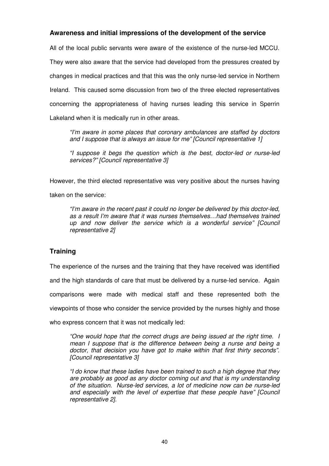### **Awareness and initial impressions of the development of the service**

All of the local public servants were aware of the existence of the nurse-led MCCU. They were also aware that the service had developed from the pressures created by changes in medical practices and that this was the only nurse-led service in Northern Ireland. This caused some discussion from two of the three elected representatives concerning the appropriateness of having nurses leading this service in Sperrin Lakeland when it is medically run in other areas.

"I'm aware in some places that coronary ambulances are staffed by doctors and I suppose that is always an issue for me" [Council representative 1]

"I suppose it begs the question which is the best, doctor-led or nurse-led services?" [Council representative 3]

However, the third elected representative was very positive about the nurses having

taken on the service:

"I'm aware in the recent past it could no longer be delivered by this doctor-led, as a result I'm aware that it was nurses themselves…had themselves trained up and now deliver the service which is a wonderful service" [Council representative 2]

# **Training**

The experience of the nurses and the training that they have received was identified

and the high standards of care that must be delivered by a nurse-led service. Again

comparisons were made with medical staff and these represented both the

viewpoints of those who consider the service provided by the nurses highly and those

who express concern that it was not medically led:

"One would hope that the correct drugs are being issued at the right time. I mean I suppose that is the difference between being a nurse and being a doctor, that decision you have got to make within that first thirty seconds". [Council representative 3]

"I do know that these ladies have been trained to such a high degree that they are probably as good as any doctor coming out and that is my understanding of the situation. Nurse-led services, a lot of medicine now can be nurse-led and especially with the level of expertise that these people have" [Council representative 2].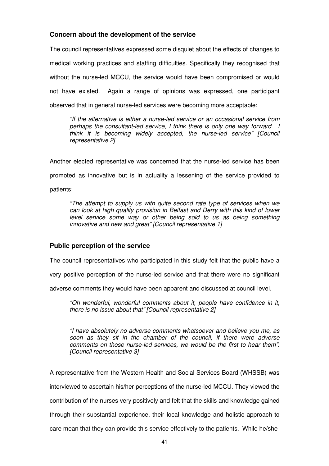### **Concern about the development of the service**

The council representatives expressed some disquiet about the effects of changes to medical working practices and staffing difficulties. Specifically they recognised that without the nurse-led MCCU, the service would have been compromised or would not have existed. Again a range of opinions was expressed, one participant observed that in general nurse-led services were becoming more acceptable:

"If the alternative is either a nurse-led service or an occasional service from perhaps the consultant-led service, I think there is only one way forward. I think it is becoming widely accepted, the nurse-led service" [Council representative 2]

Another elected representative was concerned that the nurse-led service has been promoted as innovative but is in actuality a lessening of the service provided to patients:

"The attempt to supply us with quite second rate type of services when we can look at high quality provision in Belfast and Derry with this kind of lower level service some way or other being sold to us as being something innovative and new and great" [Council representative 1]

### **Public perception of the service**

The council representatives who participated in this study felt that the public have a

very positive perception of the nurse-led service and that there were no significant

adverse comments they would have been apparent and discussed at council level.

"Oh wonderful, wonderful comments about it, people have confidence in it, there is no issue about that" [Council representative 2]

"I have absolutely no adverse comments whatsoever and believe you me, as soon as they sit in the chamber of the council, if there were adverse comments on those nurse-led services, we would be the first to hear them". [Council representative 3]

A representative from the Western Health and Social Services Board (WHSSB) was interviewed to ascertain his/her perceptions of the nurse-led MCCU. They viewed the contribution of the nurses very positively and felt that the skills and knowledge gained through their substantial experience, their local knowledge and holistic approach to care mean that they can provide this service effectively to the patients. While he/she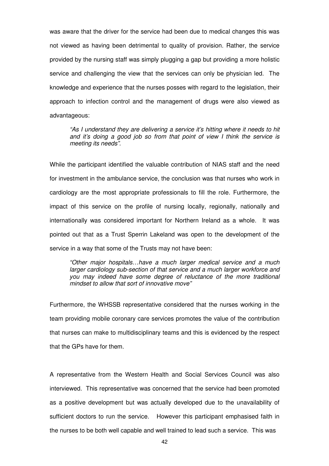was aware that the driver for the service had been due to medical changes this was not viewed as having been detrimental to quality of provision. Rather, the service provided by the nursing staff was simply plugging a gap but providing a more holistic service and challenging the view that the services can only be physician led. The knowledge and experience that the nurses posses with regard to the legislation, their approach to infection control and the management of drugs were also viewed as advantageous:

"As I understand they are delivering a service it's hitting where it needs to hit and it's doing a good job so from that point of view I think the service is meeting its needs".

While the participant identified the valuable contribution of NIAS staff and the need for investment in the ambulance service, the conclusion was that nurses who work in cardiology are the most appropriate professionals to fill the role. Furthermore, the impact of this service on the profile of nursing locally, regionally, nationally and internationally was considered important for Northern Ireland as a whole. It was pointed out that as a Trust Sperrin Lakeland was open to the development of the service in a way that some of the Trusts may not have been:

"Other major hospitals…have a much larger medical service and a much larger cardiology sub-section of that service and a much larger workforce and you may indeed have some degree of reluctance of the more traditional mindset to allow that sort of innovative move"

Furthermore, the WHSSB representative considered that the nurses working in the team providing mobile coronary care services promotes the value of the contribution that nurses can make to multidisciplinary teams and this is evidenced by the respect that the GPs have for them.

A representative from the Western Health and Social Services Council was also interviewed. This representative was concerned that the service had been promoted as a positive development but was actually developed due to the unavailability of sufficient doctors to run the service. However this participant emphasised faith in the nurses to be both well capable and well trained to lead such a service. This was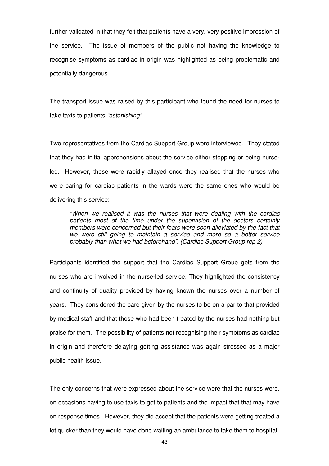further validated in that they felt that patients have a very, very positive impression of the service. The issue of members of the public not having the knowledge to recognise symptoms as cardiac in origin was highlighted as being problematic and potentially dangerous.

The transport issue was raised by this participant who found the need for nurses to take taxis to patients "astonishing".

Two representatives from the Cardiac Support Group were interviewed. They stated that they had initial apprehensions about the service either stopping or being nurseled. However, these were rapidly allayed once they realised that the nurses who were caring for cardiac patients in the wards were the same ones who would be delivering this service:

"When we realised it was the nurses that were dealing with the cardiac patients most of the time under the supervision of the doctors certainly members were concerned but their fears were soon alleviated by the fact that we were still going to maintain a service and more so a better service probably than what we had beforehand". (Cardiac Support Group rep 2)

Participants identified the support that the Cardiac Support Group gets from the nurses who are involved in the nurse-led service. They highlighted the consistency and continuity of quality provided by having known the nurses over a number of years. They considered the care given by the nurses to be on a par to that provided by medical staff and that those who had been treated by the nurses had nothing but praise for them. The possibility of patients not recognising their symptoms as cardiac in origin and therefore delaying getting assistance was again stressed as a major public health issue.

The only concerns that were expressed about the service were that the nurses were, on occasions having to use taxis to get to patients and the impact that that may have on response times. However, they did accept that the patients were getting treated a lot quicker than they would have done waiting an ambulance to take them to hospital.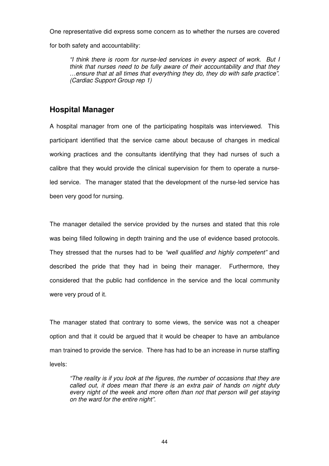One representative did express some concern as to whether the nurses are covered

for both safety and accountability:

"I think there is room for nurse-led services in every aspect of work. But I think that nurses need to be fully aware of their accountability and that they …ensure that at all times that everything they do, they do with safe practice". (Cardiac Support Group rep 1)

# **Hospital Manager**

A hospital manager from one of the participating hospitals was interviewed. This participant identified that the service came about because of changes in medical working practices and the consultants identifying that they had nurses of such a calibre that they would provide the clinical supervision for them to operate a nurseled service. The manager stated that the development of the nurse-led service has been very good for nursing.

The manager detailed the service provided by the nurses and stated that this role was being filled following in depth training and the use of evidence based protocols. They stressed that the nurses had to be "well qualified and highly competent" and described the pride that they had in being their manager. Furthermore, they considered that the public had confidence in the service and the local community were very proud of it.

The manager stated that contrary to some views, the service was not a cheaper option and that it could be argued that it would be cheaper to have an ambulance man trained to provide the service. There has had to be an increase in nurse staffing levels:

"The reality is if you look at the figures, the number of occasions that they are called out, it does mean that there is an extra pair of hands on night duty every night of the week and more often than not that person will get staying on the ward for the entire night".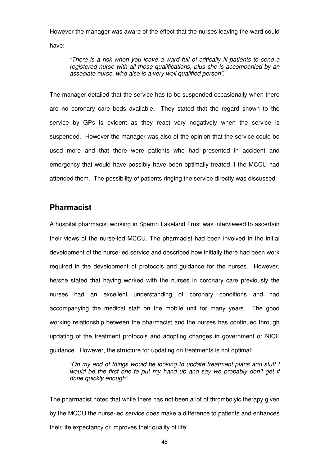However the manager was aware of the effect that the nurses leaving the ward could have:

"There is a risk when you leave a ward full of critically ill patients to send a registered nurse with all those qualifications, plus she is accompanied by an associate nurse, who also is a very well qualified person".

The manager detailed that the service has to be suspended occasionally when there are no coronary care beds available. They stated that the regard shown to the service by GPs is evident as they react very negatively when the service is suspended. However the manager was also of the opinion that the service could be used more and that there were patients who had presented in accident and emergency that would have possibly have been optimally treated if the MCCU had attended them. The possibility of patients ringing the service directly was discussed.

# **Pharmacist**

A hospital pharmacist working in Sperrin Lakeland Trust was interviewed to ascertain their views of the nurse-led MCCU. The pharmacist had been involved in the initial development of the nurse-led service and described how initially there had been work required in the development of protocols and guidance for the nurses. However, he/she stated that having worked with the nurses in coronary care previously the nurses had an excellent understanding of coronary conditions and had accompanying the medical staff on the mobile unit for many years. The good working relationship between the pharmacist and the nurses has continued through updating of the treatment protocols and adopting changes in government or NICE guidance. However, the structure for updating on treatments is not optimal:

"On my end of things would be looking to update treatment plans and stuff I would be the first one to put my hand up and say we probably don't get it done quickly enough".

The pharmacist noted that while there has not been a lot of thrombolyic therapy given by the MCCU the nurse-led service does make a difference to patients and enhances their life expectancy or improves their quality of life: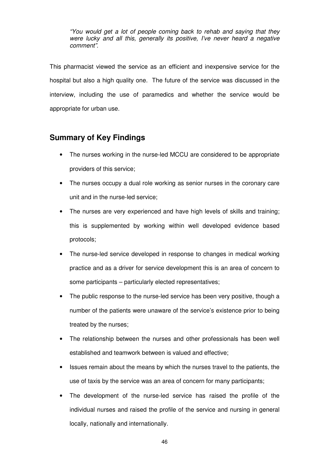"You would get a lot of people coming back to rehab and saying that they were lucky and all this, generally its positive, I've never heard a negative comment".

This pharmacist viewed the service as an efficient and inexpensive service for the hospital but also a high quality one. The future of the service was discussed in the interview, including the use of paramedics and whether the service would be appropriate for urban use.

# **Summary of Key Findings**

- The nurses working in the nurse-led MCCU are considered to be appropriate providers of this service;
- The nurses occupy a dual role working as senior nurses in the coronary care unit and in the nurse-led service;
- The nurses are very experienced and have high levels of skills and training; this is supplemented by working within well developed evidence based protocols;
- The nurse-led service developed in response to changes in medical working practice and as a driver for service development this is an area of concern to some participants – particularly elected representatives;
- The public response to the nurse-led service has been very positive, though a number of the patients were unaware of the service's existence prior to being treated by the nurses;
- The relationship between the nurses and other professionals has been well established and teamwork between is valued and effective;
- Issues remain about the means by which the nurses travel to the patients, the use of taxis by the service was an area of concern for many participants;
- The development of the nurse-led service has raised the profile of the individual nurses and raised the profile of the service and nursing in general locally, nationally and internationally.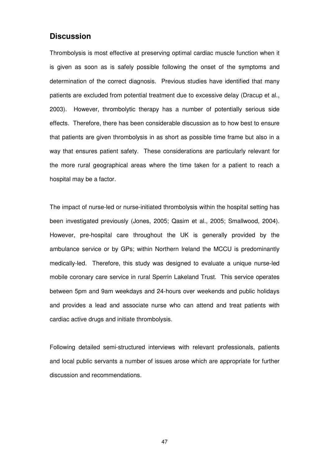# **Discussion**

Thrombolysis is most effective at preserving optimal cardiac muscle function when it is given as soon as is safely possible following the onset of the symptoms and determination of the correct diagnosis. Previous studies have identified that many patients are excluded from potential treatment due to excessive delay (Dracup et al., 2003). However, thrombolytic therapy has a number of potentially serious side effects. Therefore, there has been considerable discussion as to how best to ensure that patients are given thrombolysis in as short as possible time frame but also in a way that ensures patient safety. These considerations are particularly relevant for the more rural geographical areas where the time taken for a patient to reach a hospital may be a factor.

The impact of nurse-led or nurse-initiated thrombolysis within the hospital setting has been investigated previously (Jones, 2005; Qasim et al., 2005; Smallwood, 2004). However, pre-hospital care throughout the UK is generally provided by the ambulance service or by GPs; within Northern Ireland the MCCU is predominantly medically-led. Therefore, this study was designed to evaluate a unique nurse-led mobile coronary care service in rural Sperrin Lakeland Trust. This service operates between 5pm and 9am weekdays and 24-hours over weekends and public holidays and provides a lead and associate nurse who can attend and treat patients with cardiac active drugs and initiate thrombolysis.

Following detailed semi-structured interviews with relevant professionals, patients and local public servants a number of issues arose which are appropriate for further discussion and recommendations.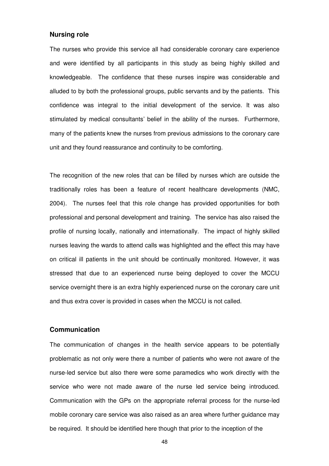#### **Nursing role**

The nurses who provide this service all had considerable coronary care experience and were identified by all participants in this study as being highly skilled and knowledgeable. The confidence that these nurses inspire was considerable and alluded to by both the professional groups, public servants and by the patients. This confidence was integral to the initial development of the service. It was also stimulated by medical consultants' belief in the ability of the nurses. Furthermore, many of the patients knew the nurses from previous admissions to the coronary care unit and they found reassurance and continuity to be comforting.

The recognition of the new roles that can be filled by nurses which are outside the traditionally roles has been a feature of recent healthcare developments (NMC, 2004). The nurses feel that this role change has provided opportunities for both professional and personal development and training. The service has also raised the profile of nursing locally, nationally and internationally. The impact of highly skilled nurses leaving the wards to attend calls was highlighted and the effect this may have on critical ill patients in the unit should be continually monitored. However, it was stressed that due to an experienced nurse being deployed to cover the MCCU service overnight there is an extra highly experienced nurse on the coronary care unit and thus extra cover is provided in cases when the MCCU is not called.

#### **Communication**

The communication of changes in the health service appears to be potentially problematic as not only were there a number of patients who were not aware of the nurse-led service but also there were some paramedics who work directly with the service who were not made aware of the nurse led service being introduced. Communication with the GPs on the appropriate referral process for the nurse-led mobile coronary care service was also raised as an area where further guidance may be required. It should be identified here though that prior to the inception of the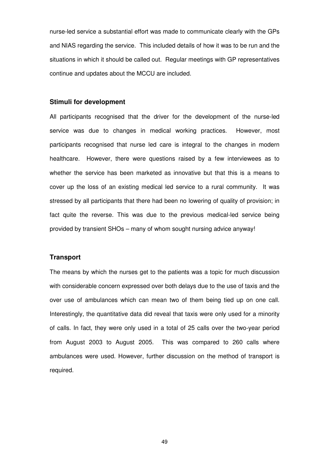nurse-led service a substantial effort was made to communicate clearly with the GPs and NIAS regarding the service. This included details of how it was to be run and the situations in which it should be called out. Regular meetings with GP representatives continue and updates about the MCCU are included.

#### **Stimuli for development**

All participants recognised that the driver for the development of the nurse-led service was due to changes in medical working practices. However, most participants recognised that nurse led care is integral to the changes in modern healthcare. However, there were questions raised by a few interviewees as to whether the service has been marketed as innovative but that this is a means to cover up the loss of an existing medical led service to a rural community. It was stressed by all participants that there had been no lowering of quality of provision; in fact quite the reverse. This was due to the previous medical-led service being provided by transient SHOs – many of whom sought nursing advice anyway!

#### **Transport**

The means by which the nurses get to the patients was a topic for much discussion with considerable concern expressed over both delays due to the use of taxis and the over use of ambulances which can mean two of them being tied up on one call. Interestingly, the quantitative data did reveal that taxis were only used for a minority of calls. In fact, they were only used in a total of 25 calls over the two-year period from August 2003 to August 2005. This was compared to 260 calls where ambulances were used. However, further discussion on the method of transport is required.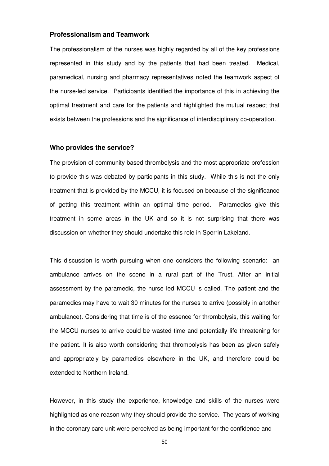#### **Professionalism and Teamwork**

The professionalism of the nurses was highly regarded by all of the key professions represented in this study and by the patients that had been treated. Medical, paramedical, nursing and pharmacy representatives noted the teamwork aspect of the nurse-led service. Participants identified the importance of this in achieving the optimal treatment and care for the patients and highlighted the mutual respect that exists between the professions and the significance of interdisciplinary co-operation.

#### **Who provides the service?**

The provision of community based thrombolysis and the most appropriate profession to provide this was debated by participants in this study. While this is not the only treatment that is provided by the MCCU, it is focused on because of the significance of getting this treatment within an optimal time period. Paramedics give this treatment in some areas in the UK and so it is not surprising that there was discussion on whether they should undertake this role in Sperrin Lakeland.

This discussion is worth pursuing when one considers the following scenario: an ambulance arrives on the scene in a rural part of the Trust. After an initial assessment by the paramedic, the nurse led MCCU is called. The patient and the paramedics may have to wait 30 minutes for the nurses to arrive (possibly in another ambulance). Considering that time is of the essence for thrombolysis, this waiting for the MCCU nurses to arrive could be wasted time and potentially life threatening for the patient. It is also worth considering that thrombolysis has been as given safely and appropriately by paramedics elsewhere in the UK, and therefore could be extended to Northern Ireland.

However, in this study the experience, knowledge and skills of the nurses were highlighted as one reason why they should provide the service. The years of working in the coronary care unit were perceived as being important for the confidence and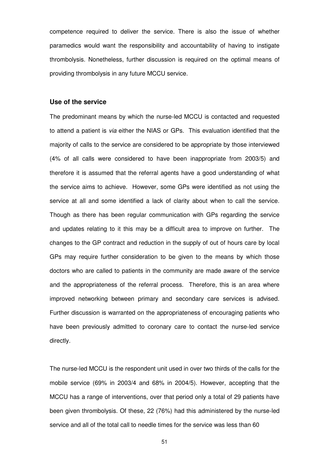competence required to deliver the service. There is also the issue of whether paramedics would want the responsibility and accountability of having to instigate thrombolysis. Nonetheless, further discussion is required on the optimal means of providing thrombolysis in any future MCCU service.

#### **Use of the service**

The predominant means by which the nurse-led MCCU is contacted and requested to attend a patient is via either the NIAS or GPs. This evaluation identified that the majority of calls to the service are considered to be appropriate by those interviewed (4% of all calls were considered to have been inappropriate from 2003/5) and therefore it is assumed that the referral agents have a good understanding of what the service aims to achieve. However, some GPs were identified as not using the service at all and some identified a lack of clarity about when to call the service. Though as there has been regular communication with GPs regarding the service and updates relating to it this may be a difficult area to improve on further. The changes to the GP contract and reduction in the supply of out of hours care by local GPs may require further consideration to be given to the means by which those doctors who are called to patients in the community are made aware of the service and the appropriateness of the referral process. Therefore, this is an area where improved networking between primary and secondary care services is advised. Further discussion is warranted on the appropriateness of encouraging patients who have been previously admitted to coronary care to contact the nurse-led service directly.

The nurse-led MCCU is the respondent unit used in over two thirds of the calls for the mobile service (69% in 2003/4 and 68% in 2004/5). However, accepting that the MCCU has a range of interventions, over that period only a total of 29 patients have been given thrombolysis. Of these, 22 (76%) had this administered by the nurse-led service and all of the total call to needle times for the service was less than 60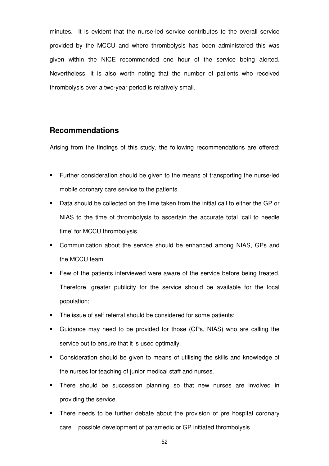minutes. It is evident that the nurse-led service contributes to the overall service provided by the MCCU and where thrombolysis has been administered this was given within the NICE recommended one hour of the service being alerted. Nevertheless, it is also worth noting that the number of patients who received thrombolysis over a two-year period is relatively small.

# **Recommendations**

Arising from the findings of this study, the following recommendations are offered:

- Further consideration should be given to the means of transporting the nurse-led mobile coronary care service to the patients.
- Data should be collected on the time taken from the initial call to either the GP or NIAS to the time of thrombolysis to ascertain the accurate total 'call to needle time' for MCCU thrombolysis.
- Communication about the service should be enhanced among NIAS, GPs and the MCCU team.
- **Few of the patients interviewed were aware of the service before being treated.** Therefore, greater publicity for the service should be available for the local population;
- The issue of self referral should be considered for some patients;
- Guidance may need to be provided for those (GPs, NIAS) who are calling the service out to ensure that it is used optimally.
- Consideration should be given to means of utilising the skills and knowledge of the nurses for teaching of junior medical staff and nurses.
- There should be succession planning so that new nurses are involved in providing the service.
- There needs to be further debate about the provision of pre hospital coronary care possible development of paramedic or GP initiated thrombolysis.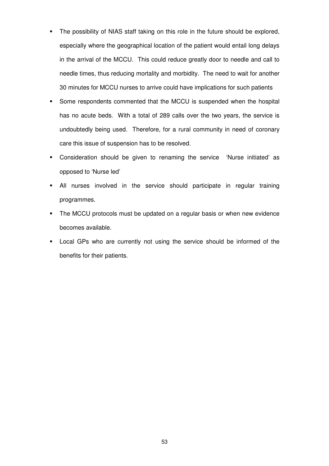- The possibility of NIAS staff taking on this role in the future should be explored, especially where the geographical location of the patient would entail long delays in the arrival of the MCCU. This could reduce greatly door to needle and call to needle times, thus reducing mortality and morbidity. The need to wait for another 30 minutes for MCCU nurses to arrive could have implications for such patients
- Some respondents commented that the MCCU is suspended when the hospital has no acute beds. With a total of 289 calls over the two years, the service is undoubtedly being used. Therefore, for a rural community in need of coronary care this issue of suspension has to be resolved.
- Consideration should be given to renaming the service 'Nurse initiated' as opposed to 'Nurse led'
- All nurses involved in the service should participate in regular training programmes.
- The MCCU protocols must be updated on a regular basis or when new evidence becomes available.
- **EXEC** Local GPs who are currently not using the service should be informed of the benefits for their patients.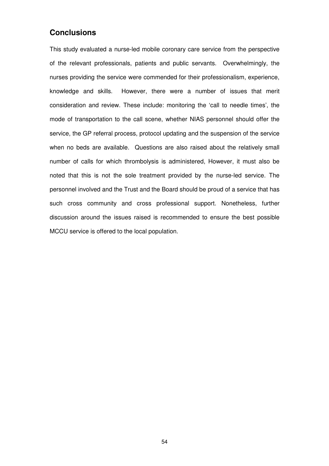# **Conclusions**

This study evaluated a nurse-led mobile coronary care service from the perspective of the relevant professionals, patients and public servants. Overwhelmingly, the nurses providing the service were commended for their professionalism, experience, knowledge and skills. However, there were a number of issues that merit consideration and review. These include: monitoring the 'call to needle times', the mode of transportation to the call scene, whether NIAS personnel should offer the service, the GP referral process, protocol updating and the suspension of the service when no beds are available. Questions are also raised about the relatively small number of calls for which thrombolysis is administered, However, it must also be noted that this is not the sole treatment provided by the nurse-led service. The personnel involved and the Trust and the Board should be proud of a service that has such cross community and cross professional support. Nonetheless, further discussion around the issues raised is recommended to ensure the best possible MCCU service is offered to the local population.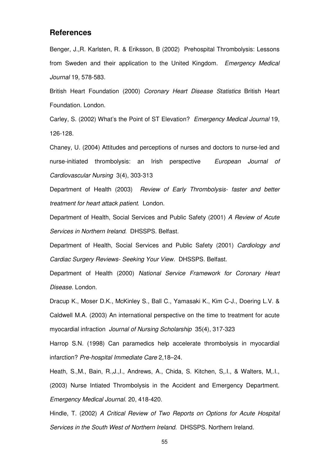### **References**

Benger, J.,R. Karlsten, R. & Eriksson, B (2002) Prehospital Thrombolysis: Lessons from Sweden and their application to the United Kingdom. Emergency Medical Journal 19, 578-583.

British Heart Foundation (2000) Coronary Heart Disease Statistics British Heart Foundation. London.

Carley, S. (2002) What's the Point of ST Elevation? Emergency Medical Journal 19, 126-128.

Chaney, U. (2004) Attitudes and perceptions of nurses and doctors to nurse-led and nurse-initiated thrombolysis: an Irish perspective European Journal of Cardiovascular Nursing 3(4), 303-313

Department of Health (2003) Review of Early Thrombolysis- faster and better treatment for heart attack patient. London.

Department of Health, Social Services and Public Safety (2001) A Review of Acute Services in Northern Ireland. DHSSPS. Belfast.

Department of Health, Social Services and Public Safety (2001) Cardiology and Cardiac Surgery Reviews- Seeking Your View. DHSSPS. Belfast.

Department of Health (2000) National Service Framework for Coronary Heart Disease. London.

Dracup K., Moser D.K., McKinley S., Ball C., Yamasaki K., Kim C-J., Doering L.V. & Caldwell M.A. (2003) An international perspective on the time to treatment for acute myocardial infraction Journal of Nursing Scholarship 35(4), 317-323

Harrop S.N. (1998) Can paramedics help accelerate thrombolysis in myocardial infarction? Pre-hospital Immediate Care 2,18–24.

Heath, S.,M., Bain, R.,J.,I., Andrews, A., Chida, S. Kitchen, S,.I., & Walters, M,.I., (2003) Nurse Intiated Thrombolysis in the Accident and Emergency Department. Emergency Medical Journal. 20, 418-420.

Hindle, T. (2002) A Critical Review of Two Reports on Options for Acute Hospital Services in the South West of Northern Ireland. DHSSPS. Northern Ireland.